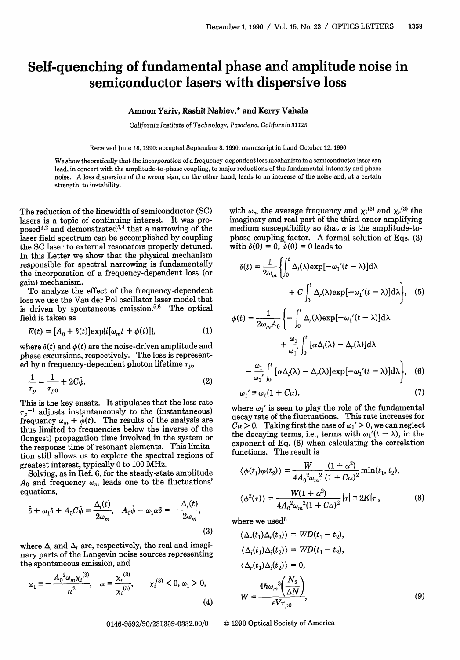## Self-quenching of fundamental phase and amplitude noise in semiconductor lasers with dispersive loss

## Amnon Yariv, Rashit Nabiev,\* and Kerry Vahala

*California Institute* of Technology, Pasadena, California *91125*

Received June 18, 1990; accepted September 8, 1990; manuscript in hand October 12, 1990

We show theoretically that the incorporation of a frequency-dependent loss mechanism in a semiconductor laser can lead, in concert with the amplitude-to-phase coupling, to major reductions of the fundamental intensity and phase noise. A loss dispersion of the wrong sign, on the other hand, leads to an increase of the noise and, at a certain strength, to instability.

The reduction of the linewidth of semiconductor (SC) lasers is a topic of continuing interest. It was proposed<sup>1,2</sup> and demonstrated<sup>3,4</sup> that a narrowing of the laser field spectrum can be accomplished by coupling the SC laser to external resonators properly detuned. In this Letter we show that the physical mechanism responsible for spectral narrowing is fundamentally the incorporation of a frequency-dependent loss (or gain) mechanism.

To analyze the effect of the frequency-dependent loss we use the Van der Pol oscillator laser model that is driven by spontaneous emission.<sup>5,6</sup> The optical field is taken as

$$
E(t) = [A_0 + \delta(t)] \exp\{i[\omega_m t + \phi(t)]\},\tag{1}
$$

where  $\delta(t)$  and  $\phi(t)$  are the noise-driven amplitude and phase excursions, respectively. The loss is represented by a frequency-dependent photon lifetime  $\tau_p$ ,

$$
\frac{1}{\tau_p} = \frac{1}{\tau_{p0}} + 2C\dot{\phi}.
$$
 (2)

This is the key ensatz. It stipulates that the loss rate  $\tau_p^{-1}$  adjusts instantaneously to the (instantaneous) frequency  $\omega_m + \dot{\phi}(t)$ . The results of the analysis are thus limited to frequencies below the inverse of the (longest) propagation time involved in the system or the response time of resonant elements. This limitation still allows us to explore the spectral regions of greatest interest, typically 0 to 100 MHz.

Solving, as in Ref. 6, for the steady-state amplitude  $A_0$  and frequency  $\omega_m$  leads one to the fluctuations' equations,

$$
\dot{\delta} + \omega_1 \delta + A_0 C \dot{\phi} = \frac{\Delta_i(t)}{2\omega_m}, \quad A_0 \dot{\phi} - \omega_1 \alpha \delta = -\frac{\Delta_r(t)}{2\omega_m},
$$
\n(3)

where  $\Delta_i$  and  $\Delta_r$  are, respectively, the real and imaginary parts of the Langevin noise sources representing the spontaneous emission, and

$$
\omega_1 = -\frac{A_0^2 \omega_m \chi_i^{(3)}}{n^2}, \quad \alpha = \frac{\chi_r^{(3)}}{\chi_i^{(3)}}, \qquad \chi_i^{(3)} < 0, \, \omega_1 > 0, \tag{4}
$$
\n
$$
W = \frac{4\hbar \omega_m^3 \left(\frac{N}{\Delta L}\right)^3}{\epsilon V \tau_{n0}}
$$

with  $\omega_m$  the average frequency and  $\chi_i^{(3)}$  and  $\chi_r^{(3)}$  the imaginary and real part of the third-order amplifying medium susceptibility so that  $\alpha$  is the amplitude-tophase coupling factor. A formal solution of Eqs. (3) with  $\delta(0) = 0$ ,  $\dot{\phi}(0) = 0$  leads to

$$
\delta(t) = \frac{1}{2\omega_m} \left\{ \int_0^t \Delta_i(\lambda) \exp[-\omega_1'(t-\lambda)] d\lambda + C \int_0^t \Delta_r(\lambda) \exp[-\omega_1'(t-\lambda)] d\lambda \right\}, \quad (5)
$$

$$
\phi(t) = \frac{1}{2\omega_m A_0} \left\{ - \int_0^t \Delta_r(\lambda) \exp[-\omega_1'(t-\lambda)] d\lambda + \frac{\omega_1}{\omega_1'} \int_0^t [\alpha \Delta_i(\lambda) - \Delta_r(\lambda)] d\lambda - \frac{\omega_1}{\omega_1'} \int_0^t [\alpha \Delta_i(\lambda) - \Delta_r(\lambda)] \exp[-\omega_1'(t-\lambda)] d\lambda \right\}, \quad (6)
$$
  

$$
\omega_1' \equiv \omega_1(1 + C\alpha), \quad (7)
$$

where  $\omega_1'$  is seen to play the role of the fundamental decay rate of the fluctuations. This rate increases for  $C\alpha > 0$ . Taking first the case of  $\omega_1' > 0$ , we can neglect the decaying terms, i.e., terms with  $\omega_1'(t - \lambda)$ , in the exponent of Eq. (6) when calculating the correlation functions. The result is

$$
\langle \phi(t_1)\phi(t_2)\rangle = \frac{W}{4A_0^2\omega_m^2} \frac{(1+\alpha^2)}{(1+C\alpha)^2} \min(t_1, t_2),
$$
  

$$
\langle \phi^2(\tau)\rangle = \frac{W(1+\alpha^2)}{4A_0^2\omega_m^2(1+C\alpha)^2} |\tau| = 2K|\tau|,
$$
 (8)

where we used $6$ 

(3)  
\n
$$
\langle \Delta_r(t_1) \Delta_r(t_2) \rangle = WD(t_1 - t_2),
$$
\ngi-  
\n
$$
\langle \Delta_i(t_1) \Delta_i(t_2) \rangle = WD(t_1 - t_2),
$$
\n
$$
\langle \Delta_r(t_1) \Delta_i(t_2) \rangle = 0,
$$
\n
$$
\langle \Delta_r(t_1) \Delta_i(t_2) \rangle = 0,
$$
\n(4)  
\n
$$
W = \frac{4\hbar \omega_m^3 \left(\frac{N_2}{\Delta N}\right)}{\epsilon V \tau_{p0}},
$$
\n(9)

0146-9592/90/231359-03\$2.00/0 © 1990 Optical Society of America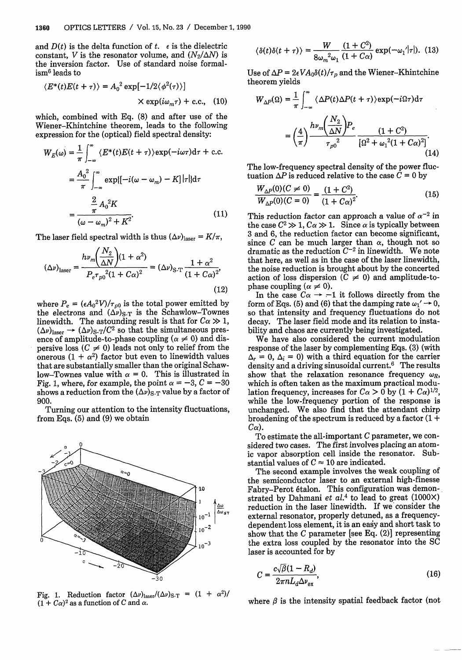and  $D(t)$  is the delta function of t.  $\epsilon$  is the dielectric constant, V is the resonator volume, and  $(N_2/\Delta N)$  is the inversion factor. Use of standard noise formalism6 leads to

$$
\langle E^*(t)E(t+\tau) \rangle = A_0^2 \exp[-1/2 \langle \phi^2(\tau) \rangle]
$$
  
 
$$
\times \exp(i\omega_m \tau) + c.c., \quad (10)
$$

which, combined with Eq. (8) and after use of the Wiener-Khintchine theorem, leads to the following expression for the (optical) field spectral density:

$$
W_E(\omega) = \frac{1}{\pi} \int_{-\infty}^{\infty} \langle E^*(t)E(t+\tau) \rangle \exp(-i\omega \tau) d\tau + c.c.
$$
  

$$
= \frac{A_0^2}{\pi} \int_{-\infty}^{\infty} \exp\{[-i(\omega - \omega_m) - K] |\tau| \} d\tau
$$
  

$$
= \frac{\frac{2}{\pi} A_0^2 K}{(\omega - \omega_m)^2 + K^2}.
$$
 (11)

The laser field spectral width is thus  $(\Delta \nu)_{\text{laser}} = K/\pi$ ,

$$
(\Delta \nu)_{\text{laser}} = \frac{h \nu_m \left(\frac{N_2}{\Delta N}\right) (1 + \alpha^2)}{P_e \tau_{p0}^2 (1 + C\alpha)^2} = (\Delta \nu)_{\text{S-T}} \frac{1 + \alpha^2}{(1 + C\alpha)^2},\tag{12}
$$

where  $P_e = (\epsilon A_0^2 V)/\tau_{p0}$  is the total power emitted by the electrons and  $(\Delta \nu)_{S-T}$  is the Schawlow-Townes linewidth. The astounding result is that for  $C\alpha \gg 1$ ,  $(\Delta \nu)_{\text{laser}} \rightarrow (\Delta \nu)_{\text{S-T}}/C^2$  so that the simultaneous presence of amplitude-to-phase coupling ( $\alpha \neq 0$ ) and dispersive loss  $(C \neq 0)$  leads not only to relief from the onerous (1 +  $\alpha^2$ ) factor but even to linewidth values that are substantially smaller than the original Schawlow-Townes value with  $\alpha = 0$ . This is illustrated in Fig. 1, where, for example, the point  $\alpha = -3$ ,  $C = -30$ shows a reduction from the  $(\Delta \nu)_{S-T}$  value by a factor of 900.

Turning our attention to the intensity fluctuations, from Eqs. (5) and (9) we obtain



Fig. 1. Reduction factor  $(\Delta \nu)_{\text{laser}} / (\Delta \nu)_{S-T} = (1 + \alpha^2) / (1 + C\alpha)^2$  as a function of *C* and  $\alpha$ .

$$
\langle \delta(t)\delta(t+\tau) \rangle = \frac{W}{8\omega_m^2 \omega_1} \frac{(1+C^2)}{(1+C\alpha)} \exp(-\omega_1/|\tau|). \tag{13}
$$

Use of  $\Delta P = 2\epsilon V A_0 \delta(t)/\tau_p$  and the Wiener-Khintchine theorem yields

$$
W_{\Delta P}(\Omega) = \frac{1}{\pi} \int_{-\infty}^{\infty} \langle \Delta P(t) \Delta P(t + \tau) \rangle \exp(-i\Omega \tau) d\tau
$$

$$
= \left(\frac{4}{\pi}\right) \frac{h\nu_m \left(\frac{N_2}{\Delta N}\right) P_e}{\tau_{p0}^2} \frac{(1 + C^2)}{\left[\Omega^2 + \omega_1^2 (1 + C\alpha)^2\right]}.
$$
(14)

The low-frequency spectral density of the power fluctuation  $\Delta P$  is reduced relative to the case  $C = 0$  by

$$
\frac{W_{\Delta P}(0)(C \neq 0)}{W_{\Delta P}(0)(C = 0)} = \frac{(1 + C^2)}{(1 + C\alpha)^2}.
$$
\n(15)

This reduction factor can approach a value of  $\alpha^{-2}$  in the case  $C^2 \gg 1$ ,  $C\alpha \gg 1$ . Since  $\alpha$  is typically between 3 and 6, the reduction factor can become significant, since C can be much larger than  $\alpha$ , though not so dramatic as the reduction  $C^{-2}$  in linewidth. We note that here, as well as in the case of the laser linewidth, the noise reduction is brought about by the concerted action of loss dispersion  $(C \neq 0)$  and amplitude-tophase coupling ( $\alpha \neq 0$ ).

In the case  $C\alpha \rightarrow -1$  it follows directly from the form of Eqs. (5) and (6) that the damping rate  $\omega_1' \rightarrow 0$ , so that intensity and frequency fluctuations do not decay. The laser field mode and its relation to instability and chaos are currently being investigated.

We have also considered the current modulation response of the laser by complementing Eqs. (3) (with  $\Delta_r = 0$ ,  $\Delta_i = 0$ ) with a third equation for the carrier density and a driving sinusoidal current.6 The results show that the relaxation resonance frequency  $\omega_R$ , which is often taken as the maximum practical modulation frequency, increases for  $C_{\alpha} > 0$  by  $(1 + C_{\alpha})^{1/2}$ , while the low-frequency portion of the response is unchanged. We also find that the attendant chirp broadening of the spectrum is reduced by a factor  $(1 +$  $C\alpha$ ).

To estimate the all-important  $C$  parameter, we considered two cases. The first involves placing an atomic vapor absorption cell inside the resonator. Substantial values of  $C \approx 10$  are indicated.

The second example involves the weak coupling of the semiconductor laser to an external high-finesse Fabry-Perot 6talon. This configuration was demonstrated by Dahmani et al.<sup>4</sup> to lead to great (1000X) reduction in the laser linewidth. If we consider the external resonator, properly detuned, as a frequencydependent loss element, it is an easy and short task to show that the  $C$  parameter [see Eq. (2)] representing the extra loss coupled by the resonator into the SC laser is accounted for by

$$
C = \frac{c\sqrt{\beta}(1 - R_d)}{2\pi n L_d \Delta \nu_{\text{ex}}},\tag{16}
$$

where  $\beta$  is the intensity spatial feedback factor (not